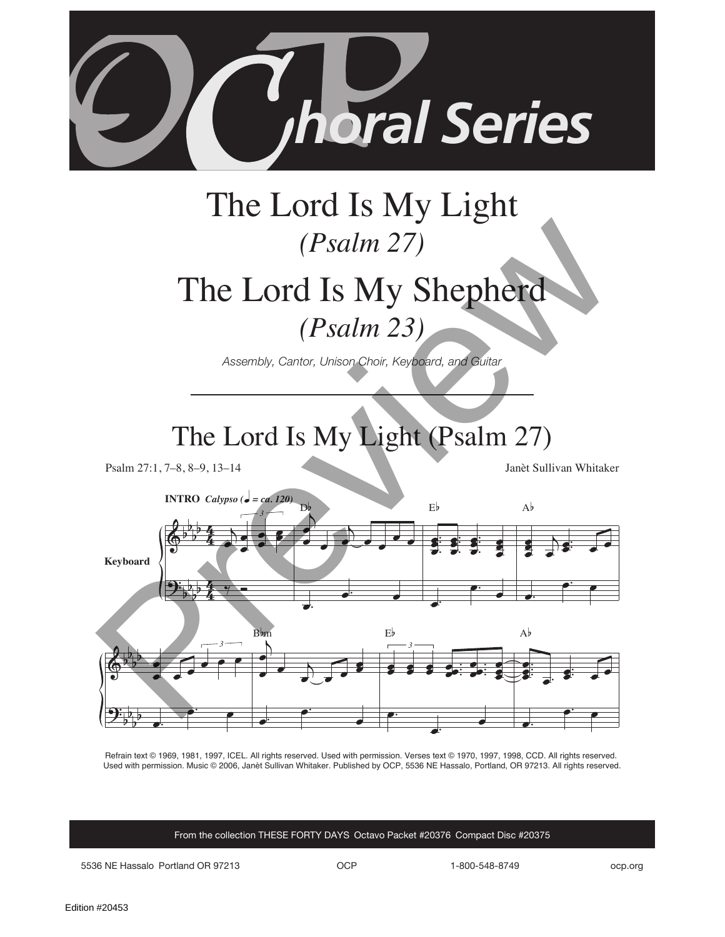

# The Lord Is My Shepherd

*(Psalm 23)*

*Assembly, Cantor, Unison Choir, Keyboard, and Guitar*

## The Lord Is My Light (Psalm 27)

Psalm 27:1, 7–8, 8–9, 13–14 Janèt Sullivan Whitaker



Refrain text © 1969, 1981, 1997, ICEL. All rights reserved. Used with permission. Verses text © 1970, 1997, 1998, CCD. All rights reserved. Used with permission. Music © 2006, Janèt Sullivan Whitaker. Published by OCP, 5536 NE Hassalo, Portland, OR 97213. All rights reserved.

From the collection THESE FORTY DAYS Octavo Packet #20376 Compact Disc #20375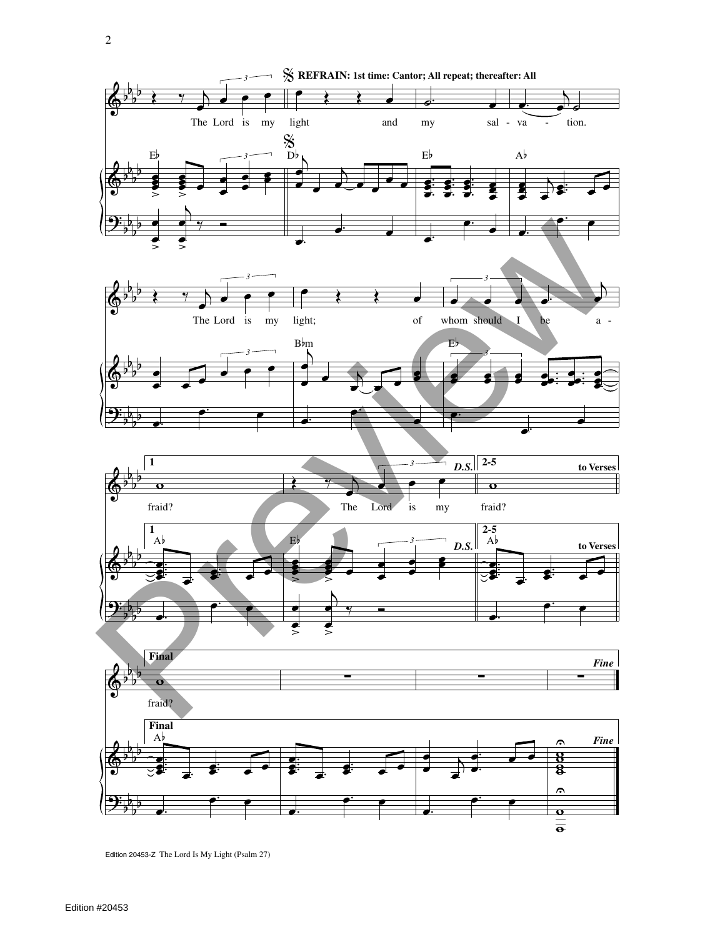

Edition 20453-Z The Lord Is My Light (Psalm 27)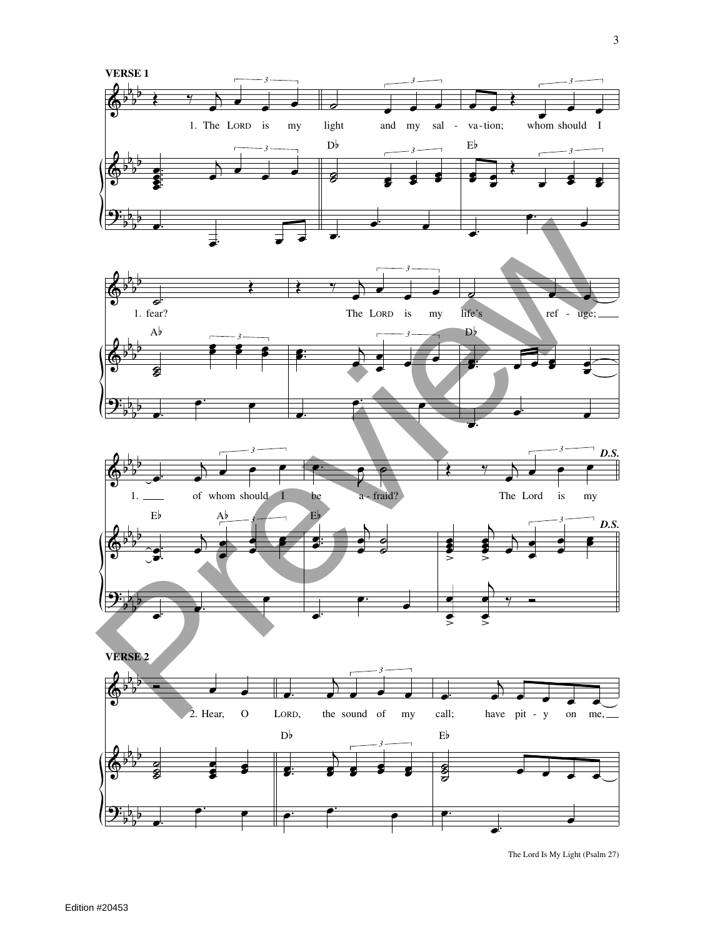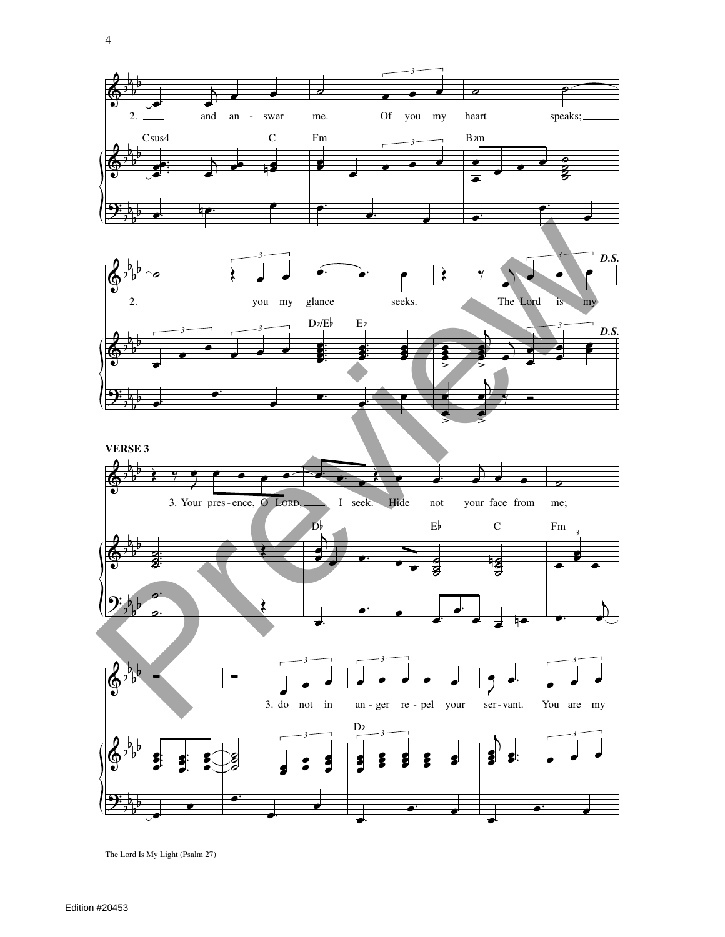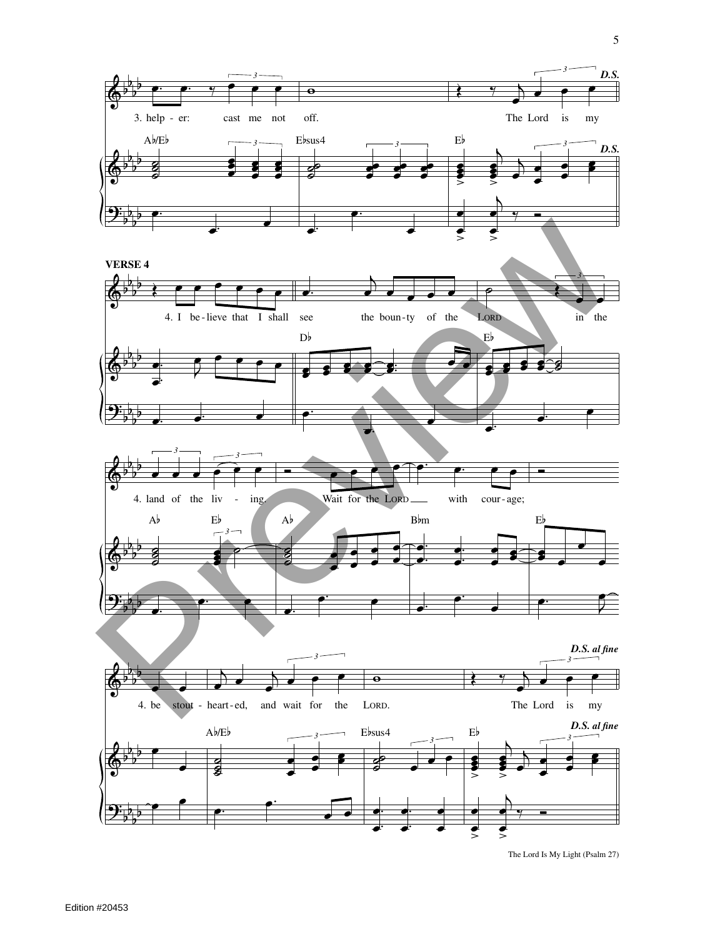

The Lord Is My Light (Psalm 27) >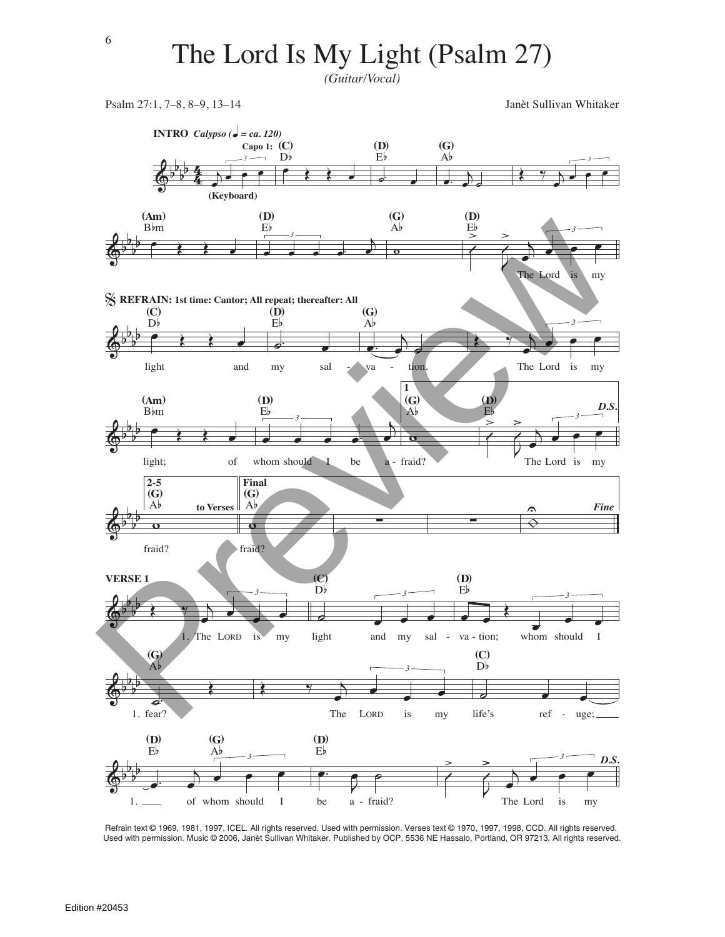*(Guitar/Vocal)*

Psalm 27:1, 7–8, 8–9, 13–14 Janèt Sullivan Whitaker



Refrain text © 1969, 1981, 1997, ICEL. All rights reserved. Used with permission. Verses text © 1970, 1997, 1998, CCD. All rights reserved. Used with permission. Music © 2006, Janèt Sullivan Whitaker. Published by OCP, 5536 NE Hassalo, Portland, OR 97213. All rights reserved.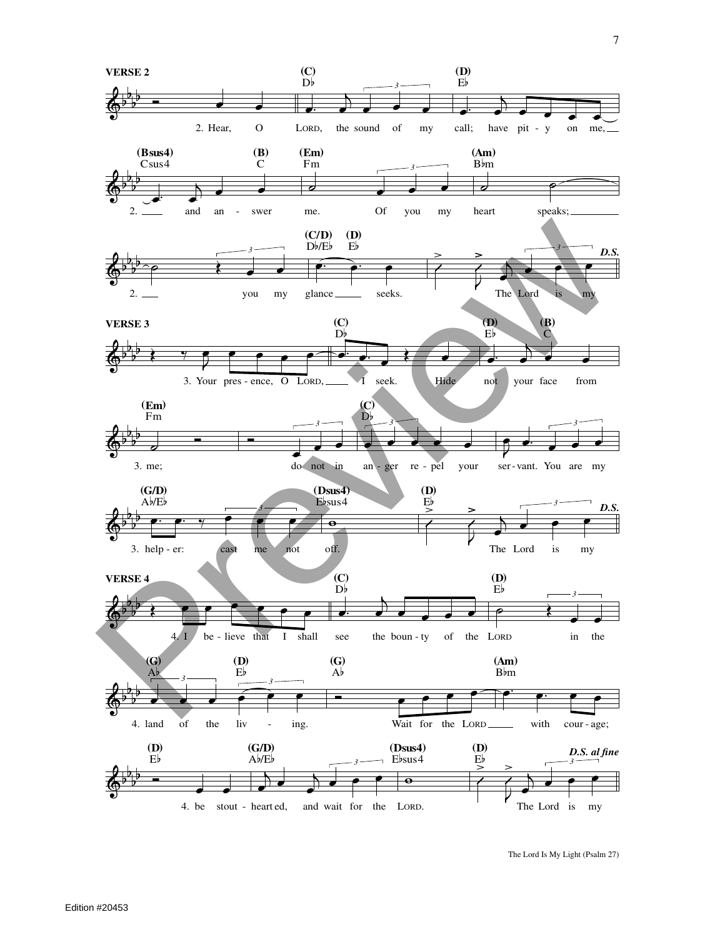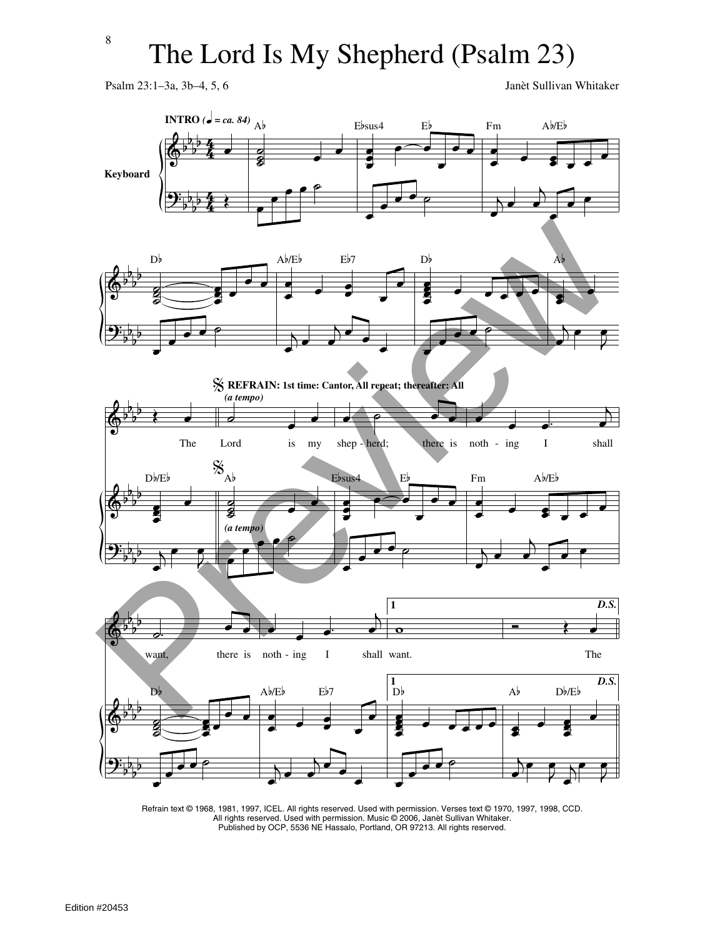Psalm 23:1–3a, 3b–4, 5, 6 Janèt Sullivan Whitaker



Refrain text © 1968, 1981, 1997, ICEL. All rights reserved. Used with permission. Verses text © 1970, 1997, 1998, CCD. All rights reserved. Used with permission. Music © 2006, Janèt Sullivan Whitaker. Published by OCP, 5536 NE Hassalo, Portland, OR 97213. All rights reserved.

8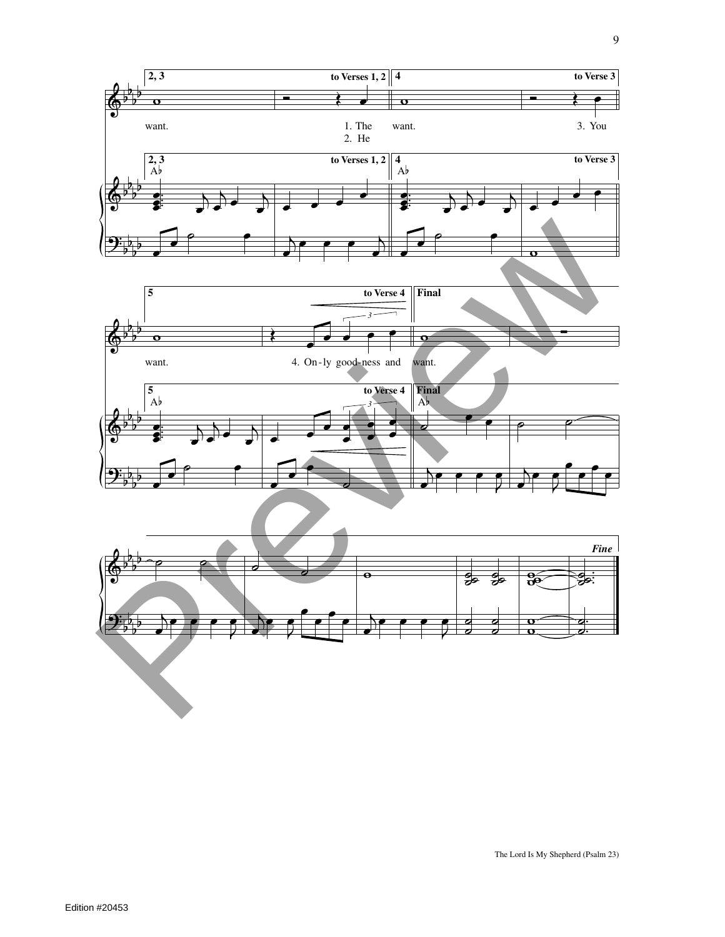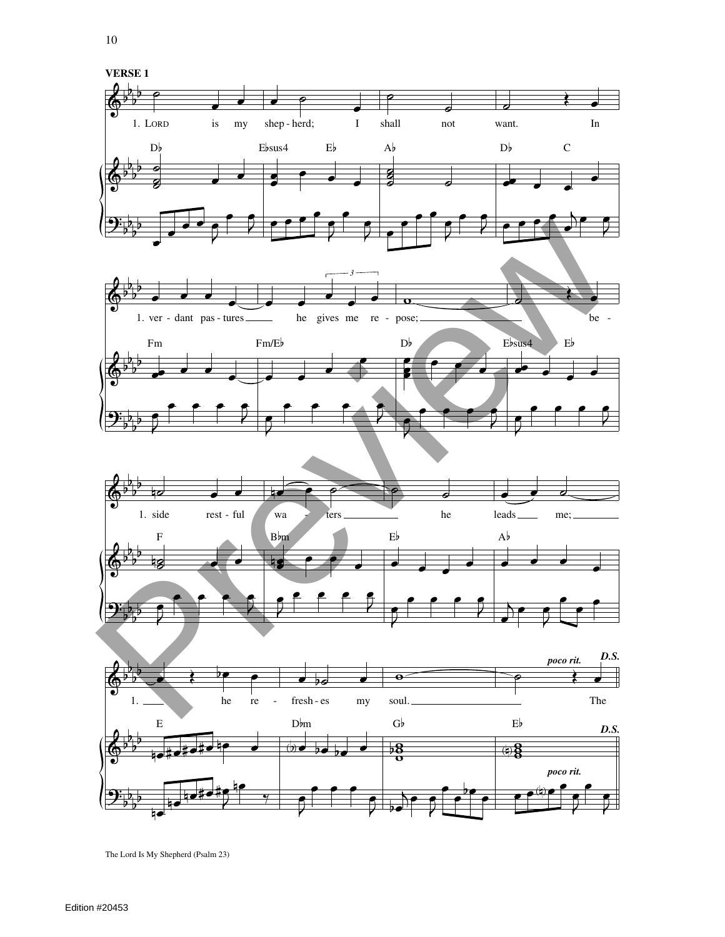

 $\mathbf{r}$ 

 $\mathbf{r}$ 

 $\mathbf{r}$ 

 $\overline{a}$ 

The Lord Is My Shepherd (Psalm 23)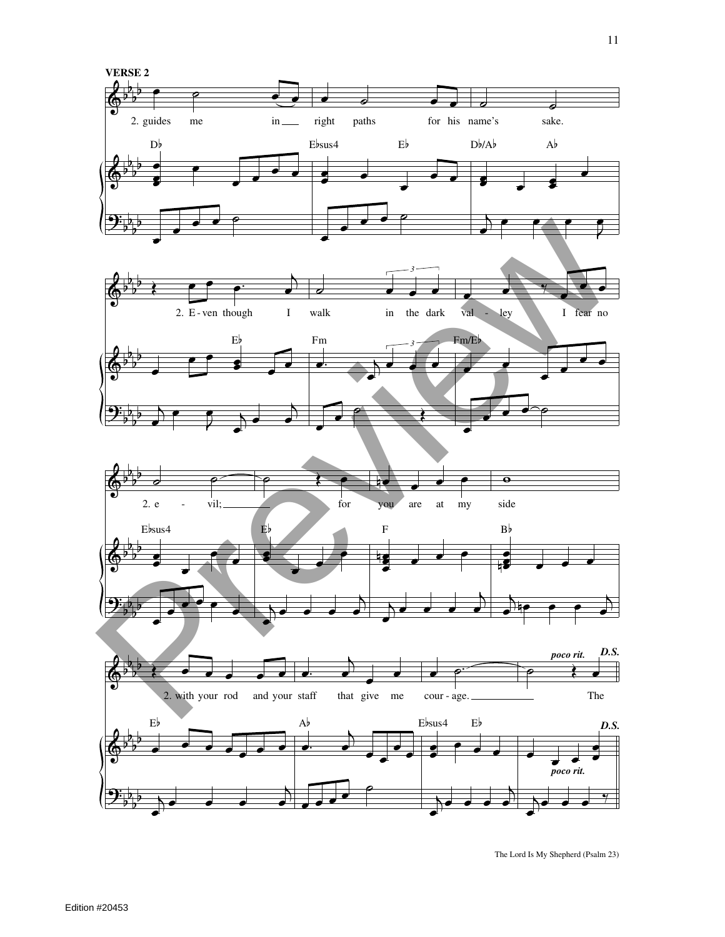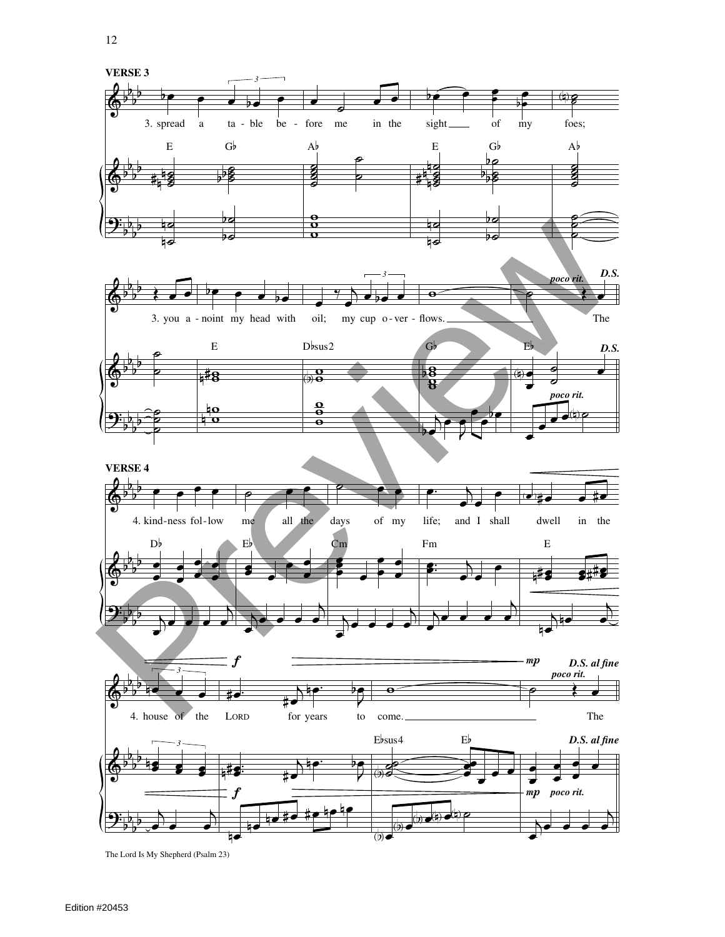12

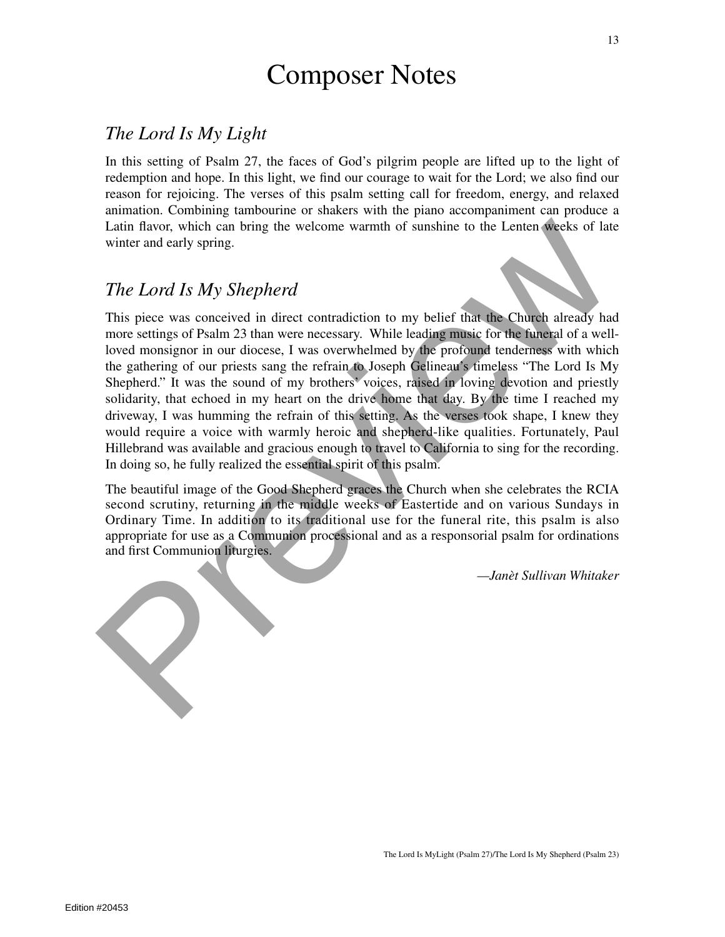#### Composer Notes

#### *The Lord Is My Light*

In this setting of Psalm 27, the faces of God's pilgrim people are lifted up to the light of redemption and hope. In this light, we find our courage to wait for the Lord; we also find our reason for rejoicing. The verses of this psalm setting call for freedom, energy, and relaxed animation. Combining tambourine or shakers with the piano accompaniment can produce a Latin flavor, which can bring the welcome warmth of sunshine to the Lenten weeks of late winter and early spring.

#### *The Lord Is My Shepherd*

This piece was conceived in direct contradiction to my belief that the Church already had more settings of Psalm 23 than were necessary. While leading music for the funeral of a wellloved monsignor in our diocese, I was overwhelmed by the profound tenderness with which the gathering of our priests sang the refrain to Joseph Gelineau's timeless "The Lord Is My Shepherd." It was the sound of my brothers' voices, raised in loving devotion and priestly solidarity, that echoed in my heart on the drive home that day. By the time I reached my driveway, I was humming the refrain of this setting. As the verses took shape, I knew they would require a voice with warmly heroic and shepherd-like qualities. Fortunately, Paul Hillebrand was available and gracious enough to travel to California to sing for the recording. In doing so, he fully realized the essential spirit of this psalm. Latin flavor, which can bring the welcome warmth of sunshine to the Lenten weeks of late<br>winter and early spring.<br>The Lord Is My Shepherd<br>This piece was conceived in direct contradiction to my belief that the Church alread

The beautiful image of the Good Shepherd graces the Church when she celebrates the RCIA second scrutiny, returning in the middle weeks of Eastertide and on various Sundays in Ordinary Time. In addition to its traditional use for the funeral rite, this psalm is also appropriate for use as a Communion processional and as a responsorial psalm for ordinations and first Communion liturgies.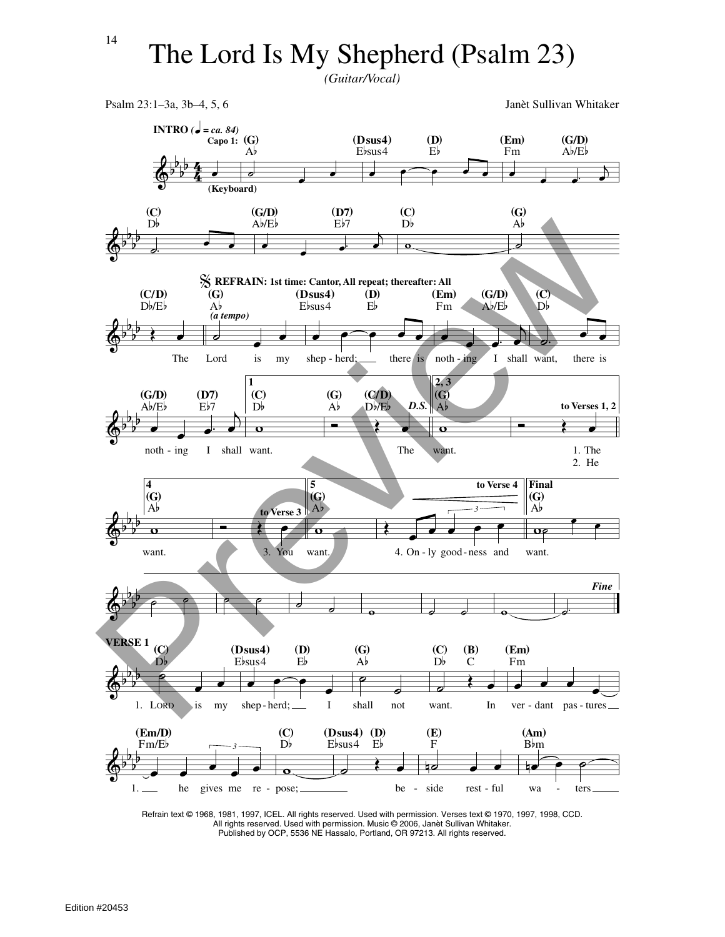*(Guitar/Vocal)*



Refrain text © 1968, 1981, 1997, ICEL. All rights reserved. Used with permission. Verses text © 1970, 1997, 1998, CCD. All rights reserved. Used with permission. Music © 2006, Janèt Sullivan Whitaker. Published by OCP, 5536 NE Hassalo, Portland, OR 97213. All rights reserved.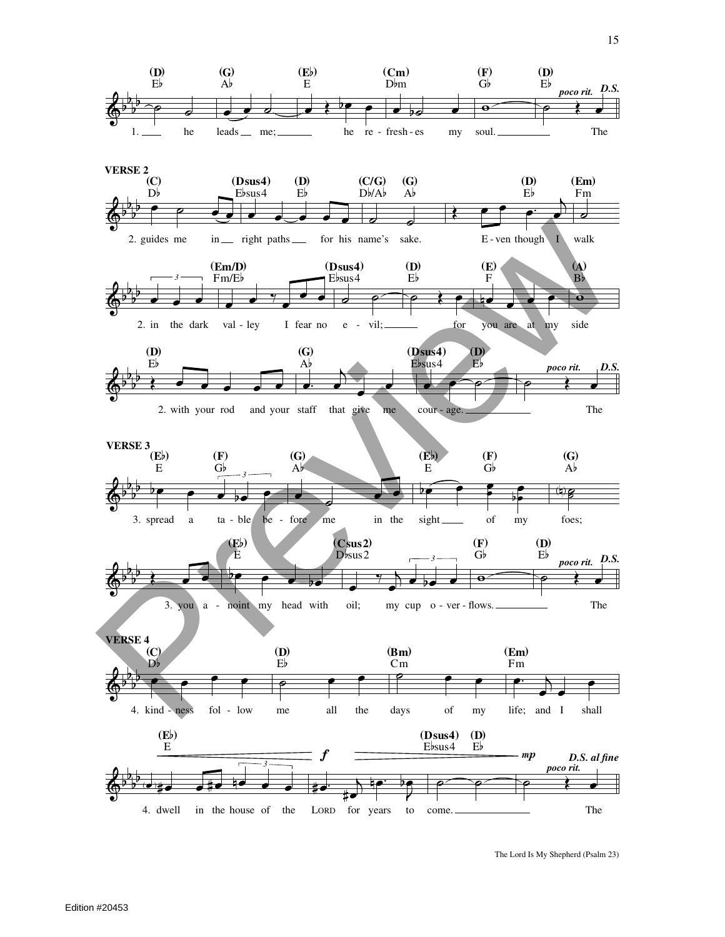